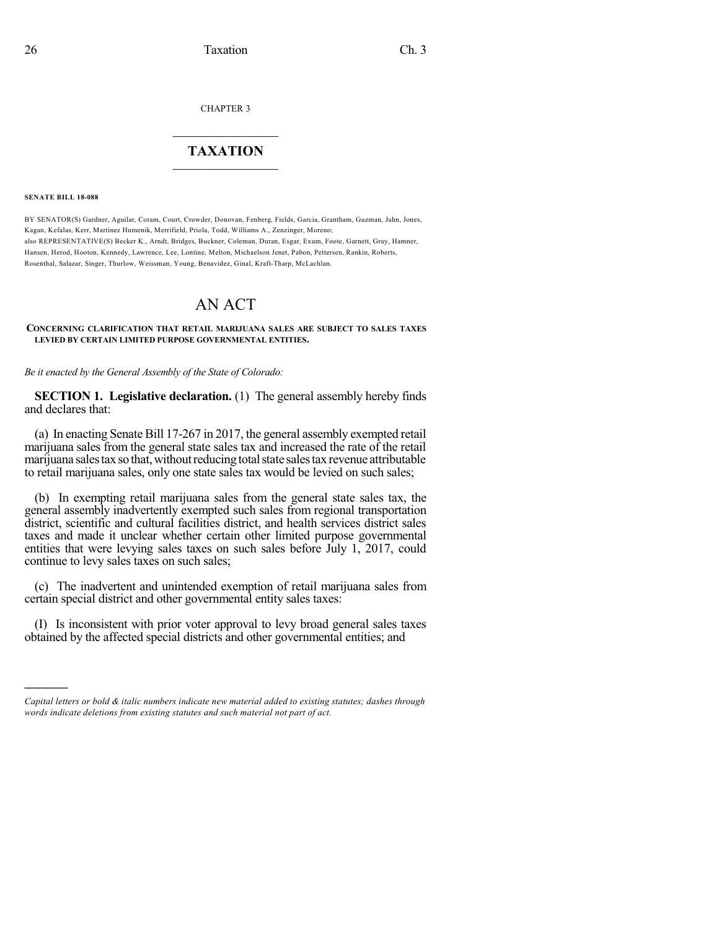CHAPTER 3

## $\overline{\phantom{a}}$  . The set of the set of the set of the set of the set of the set of the set of the set of the set of the set of the set of the set of the set of the set of the set of the set of the set of the set of the set o **TAXATION**  $\_$

**SENATE BILL 18-088**

)))))

BY SENATOR(S) Gardner, Aguilar, Coram, Court, Crowder, Donovan, Fenberg, Fields, Garcia, Grantham, Guzman, Jahn, Jones, Kagan, Kefalas, Kerr, Martinez Humenik, Merrifield, Priola, Todd, Williams A., Zenzinger, Moreno; also REPRESENTATIVE(S) Becker K., Arndt, Bridges, Buckner, Coleman, Duran, Esgar, Exum, Foote, Garnett, Gray, Hamner, Hansen, Herod, Hooton, Kennedy, Lawrence, Lee, Lontine, Melton, Michaelson Jenet, Pabon, Pettersen, Rankin, Roberts, Rosenthal, Salazar, Singer, Thurlow, Weissman, Young, Benavidez, Ginal, Kraft-Tharp, McLachlan.

## AN ACT

**CONCERNING CLARIFICATION THAT RETAIL MARIJUANA SALES ARE SUBJECT TO SALES TAXES LEVIED BY CERTAIN LIMITED PURPOSE GOVERNMENTAL ENTITIES.**

*Be it enacted by the General Assembly of the State of Colorado:*

**SECTION 1. Legislative declaration.** (1) The general assembly hereby finds and declares that:

(a) In enacting Senate Bill 17-267 in 2017, the general assembly exempted retail marijuana sales from the general state sales tax and increased the rate of the retail marijuana sales tax so that, without reducing total state sales tax revenue attributable to retail marijuana sales, only one state sales tax would be levied on such sales;

(b) In exempting retail marijuana sales from the general state sales tax, the general assembly inadvertently exempted such sales from regional transportation district, scientific and cultural facilities district, and health services district sales taxes and made it unclear whether certain other limited purpose governmental entities that were levying sales taxes on such sales before July 1, 2017, could continue to levy sales taxes on such sales;

(c) The inadvertent and unintended exemption of retail marijuana sales from certain special district and other governmental entity sales taxes:

(I) Is inconsistent with prior voter approval to levy broad general sales taxes obtained by the affected special districts and other governmental entities; and

*Capital letters or bold & italic numbers indicate new material added to existing statutes; dashes through words indicate deletions from existing statutes and such material not part of act.*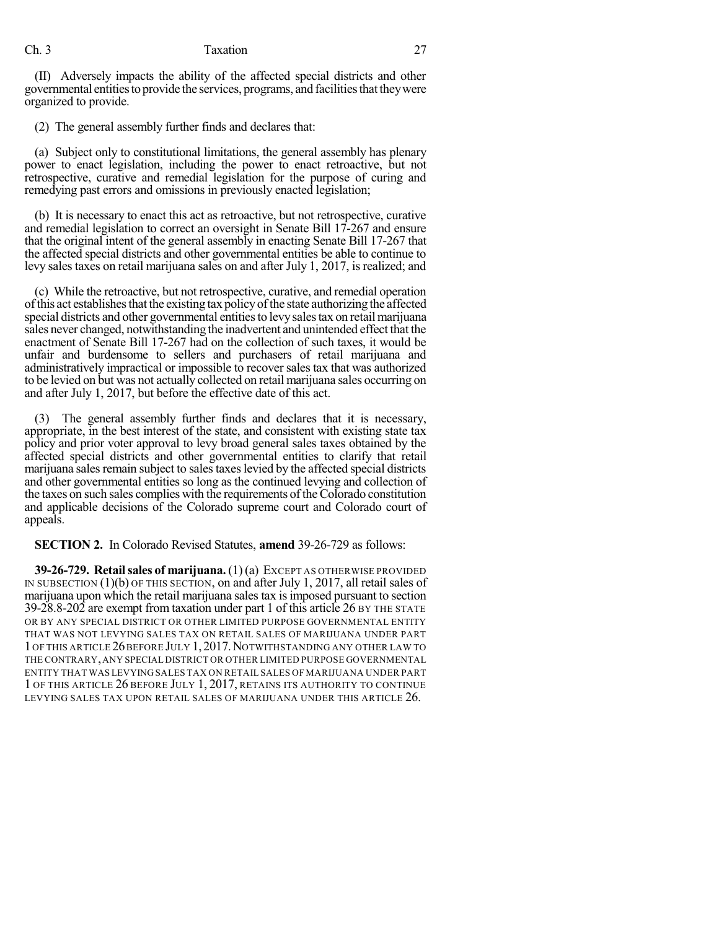## Ch. 3 Taxation 27

(II) Adversely impacts the ability of the affected special districts and other governmental entitiestoprovide the services, programs, and facilitiesthattheywere organized to provide.

(2) The general assembly further finds and declares that:

(a) Subject only to constitutional limitations, the general assembly has plenary power to enact legislation, including the power to enact retroactive, but not retrospective, curative and remedial legislation for the purpose of curing and remedying past errors and omissions in previously enacted legislation;

(b) It is necessary to enact this act as retroactive, but not retrospective, curative and remedial legislation to correct an oversight in Senate Bill 17-267 and ensure that the original intent of the general assembly in enacting Senate Bill 17-267 that the affected special districts and other governmental entities be able to continue to levy sales taxes on retail marijuana sales on and after July 1, 2017, is realized; and

(c) While the retroactive, but not retrospective, curative, and remedial operation of this act establishes that the existing tax policy of the state authorizing the affected special districts and other governmental entities to levy sales tax on retail marijuana sales never changed, notwithstanding the inadvertent and unintended effect that the enactment of Senate Bill 17-267 had on the collection of such taxes, it would be unfair and burdensome to sellers and purchasers of retail marijuana and administratively impractical or impossible to recover sales tax that was authorized to be levied on but was not actually collected on retail marijuana sales occurring on and after July 1, 2017, but before the effective date of this act.

(3) The general assembly further finds and declares that it is necessary, appropriate, in the best interest of the state, and consistent with existing state tax policy and prior voter approval to levy broad general sales taxes obtained by the affected special districts and other governmental entities to clarify that retail marijuana sales remain subject to sales taxes levied by the affected special districts and other governmental entities so long as the continued levying and collection of the taxes on such sales complies with the requirements of the Colorado constitution and applicable decisions of the Colorado supreme court and Colorado court of appeals.

**SECTION 2.** In Colorado Revised Statutes, **amend** 39-26-729 as follows:

**39-26-729. Retailsales of marijuana.** (1) (a) EXCEPT AS OTHERWISE PROVIDED IN SUBSECTION (1)(b) OF THIS SECTION, on and after July 1, 2017, all retail sales of marijuana upon which the retail marijuana sales tax isimposed pursuant to section 39-28.8-202 are exempt from taxation under part 1 of this article 26 BY THE STATE OR BY ANY SPECIAL DISTRICT OR OTHER LIMITED PURPOSE GOVERNMENTAL ENTITY THAT WAS NOT LEVYING SALES TAX ON RETAIL SALES OF MARIJUANA UNDER PART 1OF THIS ARTICLE 26BEFORE JULY 1,2017.NOTWITHSTANDING ANY OTHER LAW TO THE CONTRARY,ANY SPECIAL DISTRICT OR OTHER LIMITED PURPOSE GOVERNMENTAL ENTITY THAT WAS LEVYING SALES TAX ON RETAIL SALES OF MARIJUANA UNDER PART 1 OF THIS ARTICLE 26 BEFORE JULY 1, 2017, RETAINS ITS AUTHORITY TO CONTINUE LEVYING SALES TAX UPON RETAIL SALES OF MARIJUANA UNDER THIS ARTICLE 26.